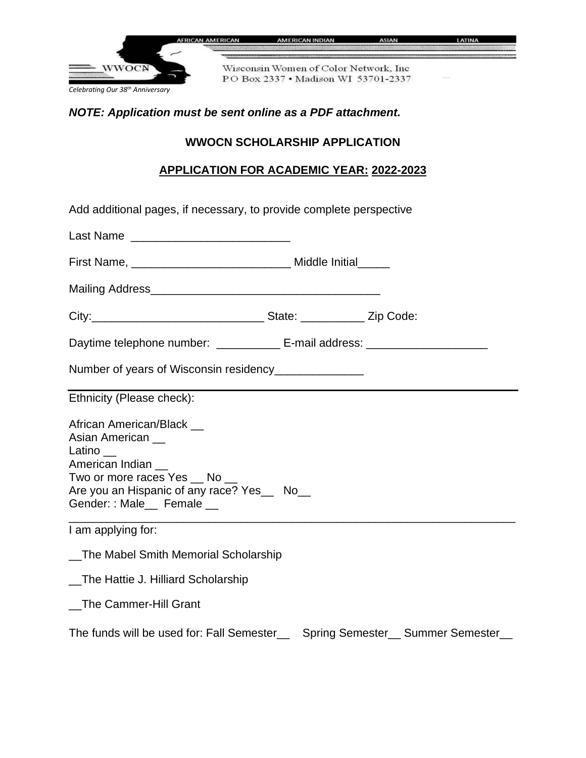

## *NOTE: Application must be sent online as a PDF attachment.*

## **WWOCN SCHOLARSHIP APPLICATION**

## **APPLICATION FOR ACADEMIC YEAR: 2022-2023**

| Add additional pages, if necessary, to provide complete perspective                                                                                                              |  |  |                                  |
|----------------------------------------------------------------------------------------------------------------------------------------------------------------------------------|--|--|----------------------------------|
|                                                                                                                                                                                  |  |  |                                  |
|                                                                                                                                                                                  |  |  |                                  |
|                                                                                                                                                                                  |  |  |                                  |
|                                                                                                                                                                                  |  |  |                                  |
| Daytime telephone number: ____________ E-mail address: _________________________                                                                                                 |  |  |                                  |
| Number of years of Wisconsin residency______________                                                                                                                             |  |  |                                  |
| Ethnicity (Please check):                                                                                                                                                        |  |  |                                  |
| African American/Black __<br>Asian American<br>Latino<br>American Indian<br>Two or more races Yes _ No _<br>Are you an Hispanic of any race? Yes_ No_<br>Gender:: Male_ Female _ |  |  |                                  |
| I am applying for:                                                                                                                                                               |  |  |                                  |
| _The Mabel Smith Memorial Scholarship                                                                                                                                            |  |  |                                  |
| _The Hattie J. Hilliard Scholarship                                                                                                                                              |  |  |                                  |
| _The Cammer-Hill Grant                                                                                                                                                           |  |  |                                  |
| The funds will be used for: Fall Semester                                                                                                                                        |  |  | Spring Semester_ Summer Semester |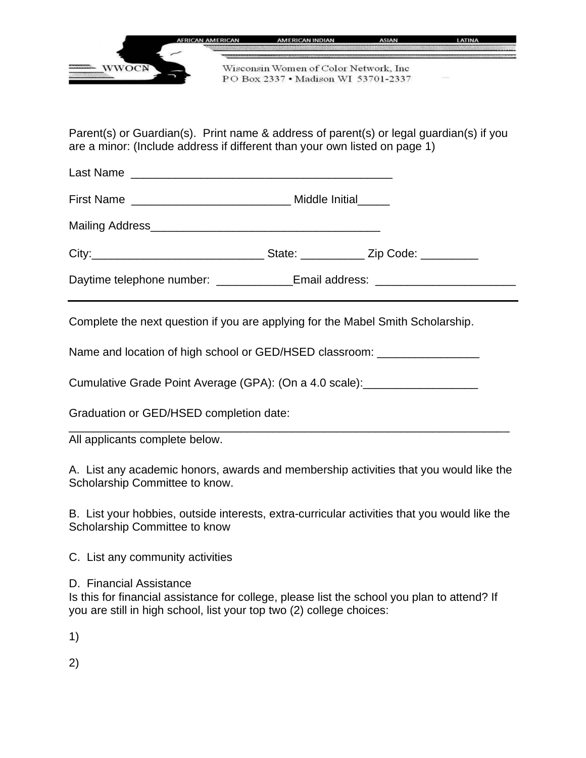

Parent(s) or Guardian(s). Print name & address of parent(s) or legal guardian(s) if you are a minor: (Include address if different than your own listed on page 1)

Last Name \_\_\_\_\_\_\_\_\_\_\_\_\_\_\_\_\_\_\_\_\_\_\_\_\_\_\_\_\_\_\_\_\_\_\_\_\_\_\_\_\_

First Name **Example 20** and the Middle Initial

Mailing Address\_\_\_\_\_\_\_\_\_\_\_\_\_\_\_\_\_\_\_\_\_\_\_\_\_\_\_\_\_\_\_\_\_\_\_\_

City:\_\_\_\_\_\_\_\_\_\_\_\_\_\_\_\_\_\_\_\_\_\_\_\_\_\_\_ State: \_\_\_\_\_\_\_\_\_\_ Zip Code: \_\_\_\_\_\_\_\_\_

Daytime telephone number: <br>
Email address:

Complete the next question if you are applying for the Mabel Smith Scholarship.

Name and location of high school or GED/HSED classroom: \_\_\_\_\_\_\_\_\_\_\_\_\_\_\_\_\_\_\_\_\_\_\_\_

Cumulative Grade Point Average (GPA): (On a 4.0 scale): \_\_\_\_\_\_\_\_\_\_\_\_\_\_\_\_\_\_\_\_\_\_\_\_

Graduation or GED/HSED completion date:

All applicants complete below.

A. List any academic honors, awards and membership activities that you would like the Scholarship Committee to know.

\_\_\_\_\_\_\_\_\_\_\_\_\_\_\_\_\_\_\_\_\_\_\_\_\_\_\_\_\_\_\_\_\_\_\_\_\_\_\_\_\_\_\_\_\_\_\_\_\_\_\_\_\_\_\_\_\_\_\_\_\_\_\_\_\_\_\_\_\_

B. List your hobbies, outside interests, extra-curricular activities that you would like the Scholarship Committee to know

C. List any community activities

D. Financial Assistance

Is this for financial assistance for college, please list the school you plan to attend? If you are still in high school, list your top two (2) college choices:

1)

2)